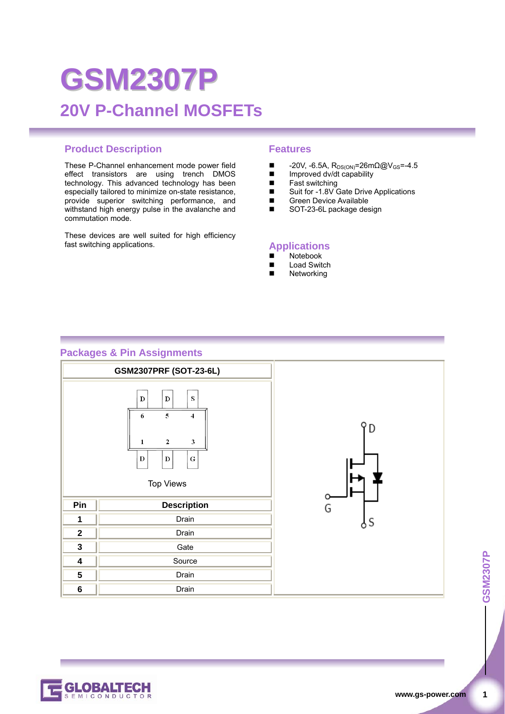# **GSM2307P 20V P-Channel MOSFETs**

#### **Product Description Features**

These P-Channel enhancement mode power field effect transistors are using trench DMOS technology. This advanced technology has been especially tailored to minimize on-state resistance, provide superior switching performance, and withstand high energy pulse in the avalanche and commutation mode.

These devices are well suited for high efficiency fast switching applications.

- $\blacksquare$  -20V, -6.5A, R<sub>DS(ON)</sub>=26mΩ@V<sub>GS</sub>=-4.5<br>
Improved dv/dt capability
- Improved dv/dt capability
- Fast switching<br>■ Suit for -1 8V 0
- Suit for -1.8V Gate Drive Applications<br>■ Green Device Available
- Green Device Available<br>SOT-23-6L package des SOT-23-6L package design

#### **Applications**

- $\blacksquare$  Notebook
- Load Switch
- Networking

#### **Packages & Pin Assignments**

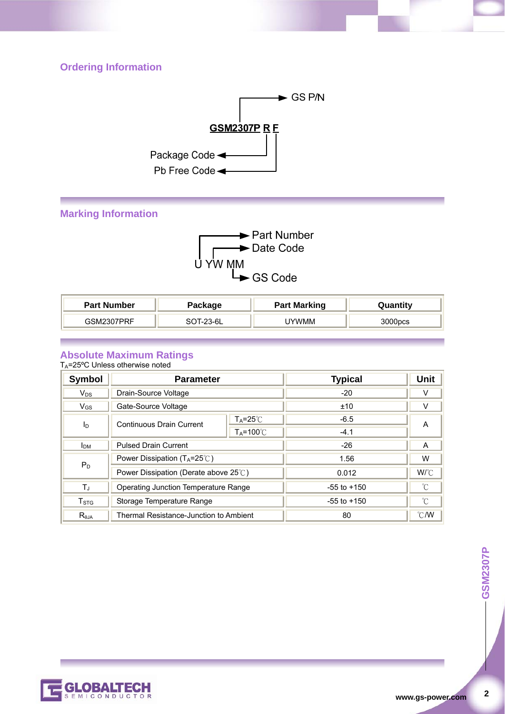# **Ordering Information**



# **Marking Information**



| <b>Part Number</b> | Package   | <b>Part Marking</b> | antitv |
|--------------------|-----------|---------------------|--------|
| 7DDE<br>ESM230     | $T-23-6L$ | UYWMM               | )00pcs |

#### **Absolute Maximum Ratings**

TA=25ºC Unless otherwise noted

| Symbol           | <b>Parameter</b>                               |                           | <b>Typical</b>  | Unit            |
|------------------|------------------------------------------------|---------------------------|-----------------|-----------------|
| $V_{DS}$         | Drain-Source Voltage                           |                           | $-20$           | v               |
| $V_{GS}$         | Gate-Source Voltage                            |                           | ±10             | V               |
| $I_{\text{D}}$   | <b>Continuous Drain Current</b>                | $T_A = 25^\circ \text{C}$ | $-6.5$          | A               |
|                  |                                                | $T_A = 100^{\circ}$       | $-4.1$          |                 |
| I <sub>DM</sub>  | <b>Pulsed Drain Current</b>                    |                           | $-26$           | A               |
|                  | Power Dissipation ( $T_A = 25^\circ\text{C}$ ) |                           | 1.56            | W               |
| $P_D$            | Power Dissipation (Derate above 25°C)          |                           | 0.012           | $W^{\circ}C$    |
| Τ,               | Operating Junction Temperature Range           |                           | $-55$ to $+150$ | $\rm ^{\circ}C$ |
| T <sub>STG</sub> | Storage Temperature Range                      |                           | $-55$ to $+150$ | $^{\circ}$ C    |
| $R_{0,IA}$       | Thermal Resistance-Junction to Ambient         |                           | 80              | $\degree$ C/W   |



 $\overline{2}$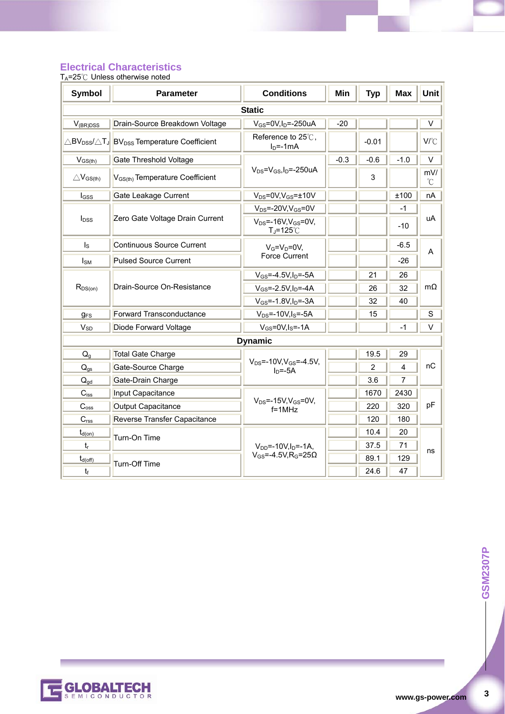### **Electrical Characteristics**

T<sub>A</sub>=25℃ Unless otherwise noted

| <b>Symbol</b>          | <b>Parameter</b>                                                                         | <b>Min</b><br><b>Conditions</b>              |        | <b>Typ</b>     | <b>Max</b> | <b>Unit</b> |
|------------------------|------------------------------------------------------------------------------------------|----------------------------------------------|--------|----------------|------------|-------------|
| <b>Static</b>          |                                                                                          |                                              |        |                |            |             |
| $V_{(BR)DSS}$          | Drain-Source Breakdown Voltage                                                           | $V_{GS}$ =0V,I <sub>D</sub> =-250uA          | $-20$  |                |            | $\vee$      |
|                        | $\triangle$ BV <sub>DSS</sub> / $\triangle$ TJ BV <sub>DSS</sub> Temperature Coefficient | Reference to 25℃,<br>$ID=-1mA$               |        | $-0.01$        |            | V/°C        |
| $V_{GS(th)}$           | <b>Gate Threshold Voltage</b>                                                            |                                              | $-0.3$ | $-0.6$         | $-1.0$     | $\vee$      |
| $\triangle V_{GS(th)}$ | $V_{GS(th)}$ Temperature Coefficient                                                     | $V_{DS} = V_{GS}I_D = -250uA$                |        | 3              |            | mV/<br>°C   |
| $_{\text{loss}}$       | Gate Leakage Current                                                                     | $V_{DS} = 0V$ , $V_{GS} = \pm 10V$           |        |                | ±100       | nA          |
|                        |                                                                                          | $V_{DS}$ =-20V, $V_{GS}$ =0V                 |        |                | $-1$       |             |
| I <sub>DSS</sub>       | Zero Gate Voltage Drain Current                                                          | $V_{DS}$ =-16V, $V_{GS}$ =0V,<br>T」=125℃     |        |                | $-10$      | uA          |
| $I_{\rm S}$            | Continuous Source Current                                                                | $V_G=V_D=0V$                                 |        |                | $-6.5$     | A           |
| <b>I</b> sm            | <b>Pulsed Source Current</b>                                                             | <b>Force Current</b>                         |        |                | $-26$      |             |
|                        | Drain-Source On-Resistance                                                               | $V_{GS} = -4.5V, I_D = -5A$                  |        | 21             | 26         | $m\Omega$   |
| $R_{DS(on)}$           |                                                                                          | $V_{GS} = -2.5V, I_D = -4A$                  |        | 26             | 32         |             |
|                        |                                                                                          | $V_{GS} = -1.8V, I_D = -3A$                  |        | 32             | 40         |             |
| <b>gFS</b>             | <b>Forward Transconductance</b>                                                          | $V_{DS}$ =-10V, I <sub>S</sub> =-5A          |        | 15             |            | $\mathbf S$ |
| $V_{SD}$               | Diode Forward Voltage                                                                    | $V_{GS}$ =0V, I <sub>S</sub> =-1A            |        |                | $-1$       | V           |
|                        | <b>Dynamic</b>                                                                           |                                              |        |                |            |             |
| $Q_{g}$                | <b>Total Gate Charge</b>                                                                 |                                              |        | 19.5           | 29         |             |
| $Q_{gs}$               | Gate-Source Charge                                                                       | $V_{DS}$ =-10V, $V_{GS}$ =-4.5V,<br>$In=-5A$ |        | $\overline{2}$ | 4          | пC          |
| $Q_{gd}$               | Gate-Drain Charge                                                                        |                                              |        | 3.6            | 7          |             |
| $C_{iss}$              | Input Capacitance                                                                        |                                              |        | 1670           | 2430       |             |
| $C_{\rm oss}$          | Output Capacitance                                                                       | $V_{DS}$ =-15V, $V_{GS}$ =0V,<br>$f = 1MHz$  |        | 220            | 320        | pF          |
| C <sub>rss</sub>       | Reverse Transfer Capacitance                                                             |                                              |        | 120            | 180        |             |
| $t_{d(on)}$            | Turn-On Time                                                                             |                                              |        | 10.4           | 20         |             |
| $t_{r}$                |                                                                                          | $V_{DD}$ =-10V, $I_D$ =-1A,                  |        | 37.5           | 71         | ns          |
| $t_{d(\text{off})}$    | Turn-Off Time                                                                            | $V_{GS}$ =-4.5V, R <sub>G</sub> =25 $\Omega$ |        | 89.1           | 129        |             |
| $t_f$                  |                                                                                          |                                              |        | 24.6           | 47         |             |



 $\mathbf{3}$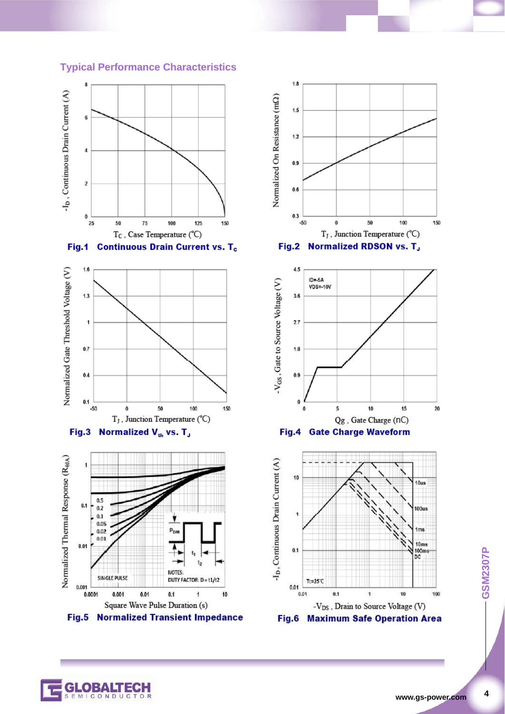#### **Typical Performance Characteristics**











 $\overline{\mathbf{4}}$ 

CONDUC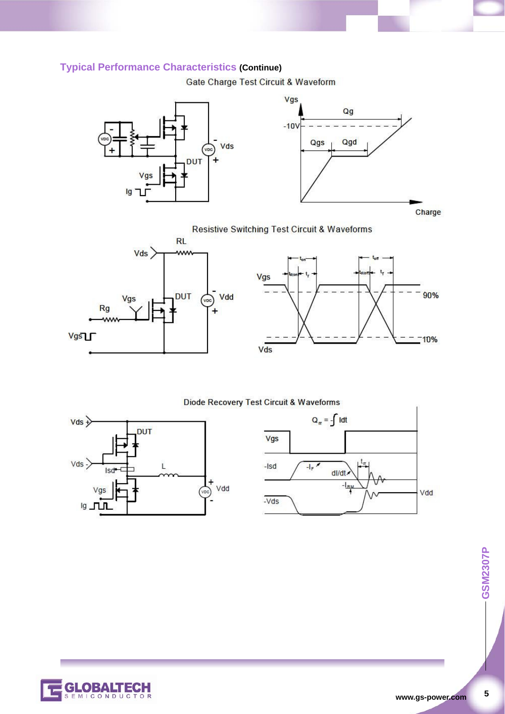# **Typical Performance Characteristics (Continue)**

Gate Charge Test Circuit & Waveform





**Resistive Switching Test Circuit & Waveforms** 





#### Diode Recovery Test Circuit & Waveforms







 $5\overline{)}$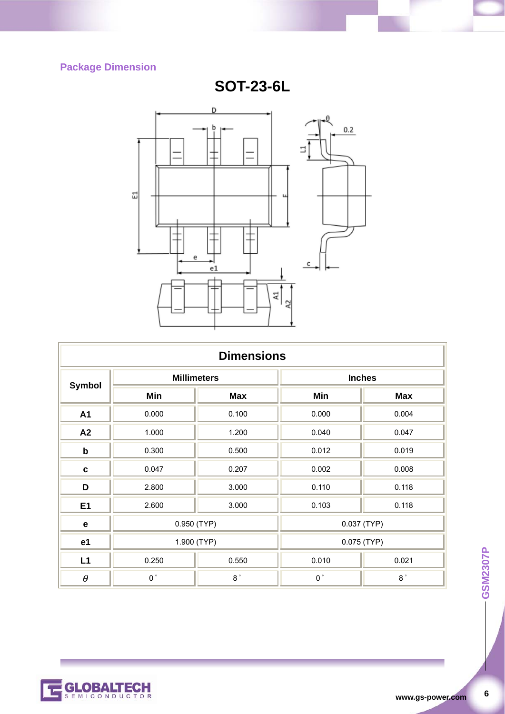# **Package Dimension**

GLOBALTECH

**SOT-23-6L**



| <b>Dimensions</b> |                       |               |                |               |  |
|-------------------|-----------------------|---------------|----------------|---------------|--|
| <b>Symbol</b>     | <b>Millimeters</b>    |               | <b>Inches</b>  |               |  |
|                   | Min                   | <b>Max</b>    | Min            | <b>Max</b>    |  |
| A1                | 0.000                 | 0.100         | 0.000          | 0.004         |  |
| A2                | 1.000                 | 1.200         | 0.040          | 0.047         |  |
| $\mathbf b$       | 0.300                 | 0.500         | 0.012          | 0.019         |  |
| $\mathbf c$       | 0.047                 | 0.207         | 0.002          | 0.008         |  |
| D                 | 2.800                 | 3.000         | 0.110          | 0.118         |  |
| E <sub>1</sub>    | 2.600                 | 3.000         | 0.103          | 0.118         |  |
| $\mathbf e$       | $0.950$ (TYP)         |               | $0.037$ (TYP)  |               |  |
| e <sub>1</sub>    | 1.900 (TYP)           |               | $0.075$ (TYP)  |               |  |
| L1                | 0.250                 | 0.550         | 0.010<br>0.021 |               |  |
| $\theta$          | $\mathbf{0}$ $^\circ$ | $8\,^{\circ}$ | $0\,^{\circ}$  | $8\,^{\circ}$ |  |



 $\bf 6$